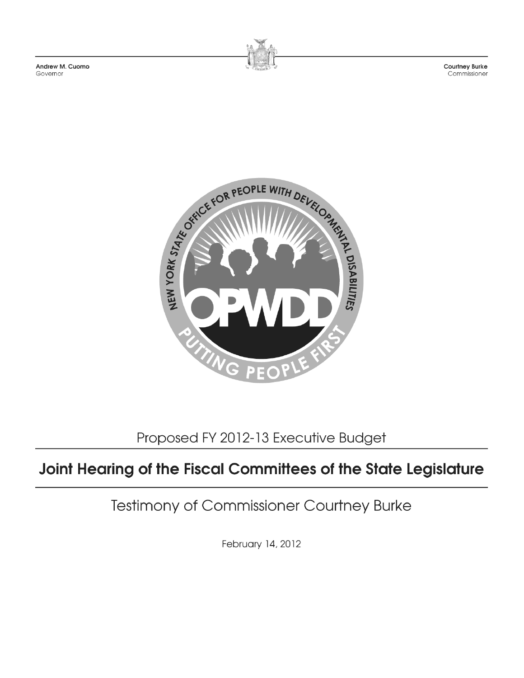Andrew M. Cuomo Governor



Courtney Burke Commissioner



Proposed FY 2012-13 Executive Budget

## Joint Hearing of the Fiscal Committees of the State Legislature

Testimony of Commissioner Courtney Burke

February 14, 2012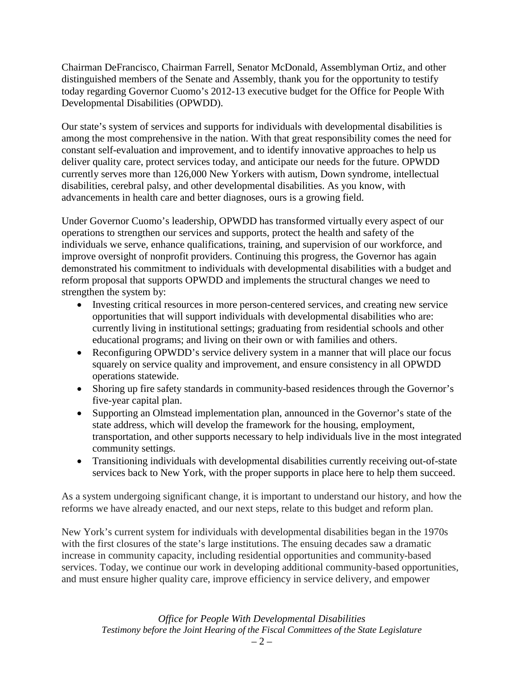Chairman DeFrancisco, Chairman Farrell, Senator McDonald, Assemblyman Ortiz, and other distinguished members of the Senate and Assembly, thank you for the opportunity to testify today regarding Governor Cuomo's 2012-13 executive budget for the Office for People With Developmental Disabilities (OPWDD).

Our state's system of services and supports for individuals with developmental disabilities is among the most comprehensive in the nation. With that great responsibility comes the need for constant self-evaluation and improvement, and to identify innovative approaches to help us deliver quality care, protect services today, and anticipate our needs for the future. OPWDD currently serves more than 126,000 New Yorkers with autism, Down syndrome, intellectual disabilities, cerebral palsy, and other developmental disabilities. As you know, with advancements in health care and better diagnoses, ours is a growing field.

Under Governor Cuomo's leadership, OPWDD has transformed virtually every aspect of our operations to strengthen our services and supports, protect the health and safety of the individuals we serve, enhance qualifications, training, and supervision of our workforce, and improve oversight of nonprofit providers. Continuing this progress, the Governor has again demonstrated his commitment to individuals with developmental disabilities with a budget and reform proposal that supports OPWDD and implements the structural changes we need to strengthen the system by:

- Investing critical resources in more person-centered services, and creating new service opportunities that will support individuals with developmental disabilities who are: currently living in institutional settings; graduating from residential schools and other educational programs; and living on their own or with families and others.
- Reconfiguring OPWDD's service delivery system in a manner that will place our focus squarely on service quality and improvement, and ensure consistency in all OPWDD operations statewide.
- Shoring up fire safety standards in community-based residences through the Governor's five-year capital plan.
- Supporting an Olmstead implementation plan, announced in the Governor's state of the state address, which will develop the framework for the housing, employment, transportation, and other supports necessary to help individuals live in the most integrated community settings.
- Transitioning individuals with developmental disabilities currently receiving out-of-state services back to New York, with the proper supports in place here to help them succeed.

As a system undergoing significant change, it is important to understand our history, and how the reforms we have already enacted, and our next steps, relate to this budget and reform plan.

New York's current system for individuals with developmental disabilities began in the 1970s with the first closures of the state's large institutions. The ensuing decades saw a dramatic increase in community capacity, including residential opportunities and community-based services. Today, we continue our work in developing additional community-based opportunities, and must ensure higher quality care, improve efficiency in service delivery, and empower